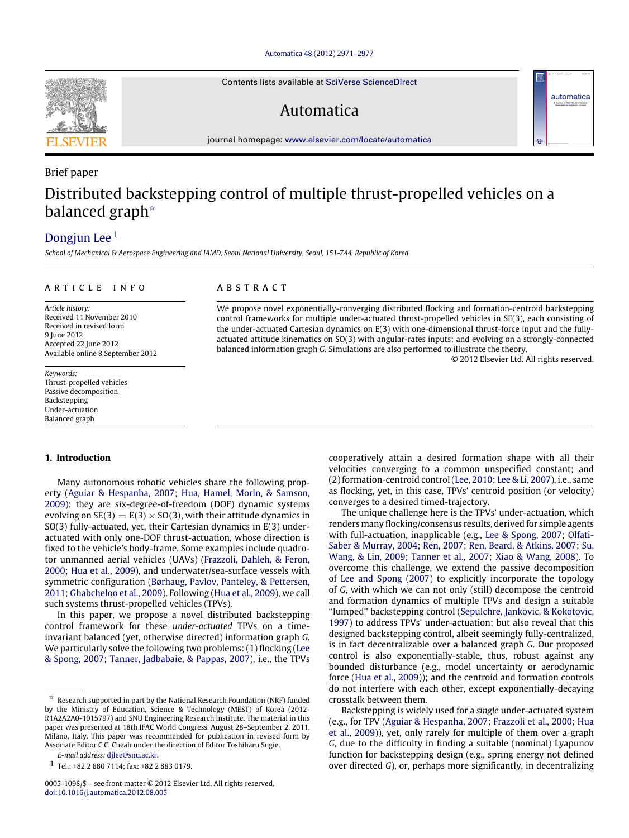[Automatica 48 \(2012\) 2971–2977](http://dx.doi.org/10.1016/j.automatica.2012.08.005)

Contents lists available at [SciVerse ScienceDirect](http://www.elsevier.com/locate/automatica)

## Automatica

journal homepage: [www.elsevier.com/locate/automatica](http://www.elsevier.com/locate/automatica)

# Brief paper Distributed backstepping control of multiple thrust-propelled vehicles on a balanced graph<sup>\*</sup>

### [Dongjun Lee](#page-6-0)<sup>[1](#page-0-1)</sup>

*School of Mechanical & Aerospace Engineering and IAMD, Seoul National University, Seoul, 151-744, Republic of Korea*

#### ARTICLE INFO

*Article history:* Received 11 November 2010 Received in revised form 9 June 2012 Accepted 22 June 2012 Available online 8 September 2012

*Keywords:* Thrust-propelled vehicles Passive decomposition Backstepping Under-actuation Balanced graph

#### **1. Introduction**

Many autonomous robotic vehicles share the following property [\(Aguiar](#page-5-0) [&](#page-5-0) [Hespanha,](#page-5-0) [2007;](#page-5-0) [Hua,](#page-5-1) [Hamel,](#page-5-1) [Morin,](#page-5-1) [&](#page-5-1) [Samson,](#page-5-1) [2009\)](#page-5-1): they are six-degree-of-freedom (DOF) dynamic systems evolving on  $SE(3) = E(3) \times SO(3)$ , with their attitude dynamics in SO(3) fully-actuated, yet, their Cartesian dynamics in E(3) underactuated with only one-DOF thrust-actuation, whose direction is fixed to the vehicle's body-frame. Some examples include quadrotor unmanned aerial vehicles (UAVs) [\(Frazzoli,](#page-5-2) [Dahleh,](#page-5-2) [&](#page-5-2) [Feron,](#page-5-2) [2000;](#page-5-2) [Hua](#page-5-1) [et al.,](#page-5-1) [2009\)](#page-5-1), and underwater/sea-surface vessels with symmetric configuration [\(Børhaug,](#page-5-3) [Pavlov,](#page-5-3) [Panteley,](#page-5-3) [&](#page-5-3) [Pettersen,](#page-5-3) [2011;](#page-5-3) [Ghabcheloo](#page-5-4) [et al.,](#page-5-4) [2009\)](#page-5-4). Following [\(Hua](#page-5-1) [et al.,](#page-5-1) [2009\)](#page-5-1), we call such systems thrust-propelled vehicles (TPVs).

In this paper, we propose a novel distributed backstepping control framework for these *under-actuated* TPVs on a timeinvariant balanced (yet, otherwise directed) information graph *G*. We particularly solve the following two problems: (1) flocking [\(Lee](#page-5-5) [&](#page-5-5) [Spong,](#page-5-5) [2007;](#page-5-5) [Tanner,](#page-6-1) [Jadbabaie,](#page-6-1) [&](#page-6-1) [Pappas,](#page-6-1) [2007\)](#page-6-1), i.e., the TPVs

*E-mail address:* [djlee@snu.ac.kr.](mailto:djlee@snu.ac.kr)

<span id="page-0-1"></span>1 Tel.: +82 2 880 7114; fax: +82 2 883 0179.

#### A B S T R A C T

We propose novel exponentially-converging distributed flocking and formation-centroid backstepping control frameworks for multiple under-actuated thrust-propelled vehicles in SE(3), each consisting of the under-actuated Cartesian dynamics on E(3) with one-dimensional thrust-force input and the fullyactuated attitude kinematics on SO(3) with angular-rates inputs; and evolving on a strongly-connected balanced information graph *G*. Simulations are also performed to illustrate the theory.

© 2012 Elsevier Ltd. All rights reserved.

automatica

cooperatively attain a desired formation shape with all their velocities converging to a common unspecified constant; and (2) formation-centroid control [\(Lee,](#page-5-6) [2010;](#page-5-6) [Lee](#page-5-7) [&](#page-5-7) [Li,](#page-5-7) [2007\)](#page-5-7), i.e., same as flocking, yet, in this case, TPVs' centroid position (or velocity) converges to a desired timed-trajectory.

The unique challenge here is the TPVs' under-actuation, which renders many flocking/consensus results, derived for simple agents [w](#page-5-8)ith full-actuation, inapplicable (e.g., [Lee](#page-5-5) [&](#page-5-5) [Spong,](#page-5-5) [2007;](#page-5-5) [Olfati-](#page-5-8)[Saber](#page-5-8) [&](#page-5-8) [Murray,](#page-5-8) [2004;](#page-5-8) [Ren,](#page-5-9) [2007;](#page-5-9) [Ren,](#page-5-10) [Beard,](#page-5-10) [&](#page-5-10) [Atkins,](#page-5-10) [2007;](#page-5-10) [Su,](#page-6-2) [Wang,](#page-6-2) [&](#page-6-2) [Lin,](#page-6-2) [2009;](#page-6-2) [Tanner](#page-6-1) [et al.,](#page-6-1) [2007;](#page-6-1) [Xiao](#page-6-3) [&](#page-6-3) [Wang,](#page-6-3) [2008\)](#page-6-3). To overcome this challenge, we extend the passive decomposition of [Lee](#page-5-5) [and](#page-5-5) [Spong](#page-5-5) [\(2007\)](#page-5-5) to explicitly incorporate the topology of *G*, with which we can not only (still) decompose the centroid and formation dynamics of multiple TPVs and design a suitable ''lumped'' backstepping control [\(Sepulchre,](#page-5-11) [Jankovic,](#page-5-11) [&](#page-5-11) [Kokotovic,](#page-5-11) [1997\)](#page-5-11) to address TPVs' under-actuation; but also reveal that this designed backstepping control, albeit seemingly fully-centralized, is in fact decentralizable over a balanced graph *G*. Our proposed control is also exponentially-stable, thus, robust against any bounded disturbance (e.g., model uncertainty or aerodynamic force [\(Hua](#page-5-1) [et al.,](#page-5-1) [2009\)](#page-5-1)); and the centroid and formation controls do not interfere with each other, except exponentially-decaying crosstalk between them.

Backstepping is widely used for a *single* under-actuated system (e.g., for TPV [\(Aguiar](#page-5-0) [&](#page-5-0) [Hespanha,](#page-5-0) [2007;](#page-5-0) [Frazzoli](#page-5-2) [et al.,](#page-5-2) [2000;](#page-5-2) [Hua](#page-5-1) [et al.,](#page-5-1) [2009\)](#page-5-1)), yet, only rarely for multiple of them over a graph *G*, due to the difficulty in finding a suitable (nominal) Lyapunov function for backstepping design (e.g., spring energy not defined over directed *G*), or, perhaps more significantly, in decentralizing



<span id="page-0-0"></span> $\overrightarrow{x}$  Research supported in part by the National Research Foundation (NRF) funded by the Ministry of Education, Science & Technology (MEST) of Korea (2012- R1A2A2A0-1015797) and SNU Engineering Research Institute. The material in this paper was presented at 18th IFAC World Congress, August 28–September 2, 2011, Milano, Italy. This paper was recommended for publication in revised form by Associate Editor C.C. Cheah under the direction of Editor Toshiharu Sugie.

<sup>0005-1098/\$ –</sup> see front matter © 2012 Elsevier Ltd. All rights reserved. [doi:10.1016/j.automatica.2012.08.005](http://dx.doi.org/10.1016/j.automatica.2012.08.005)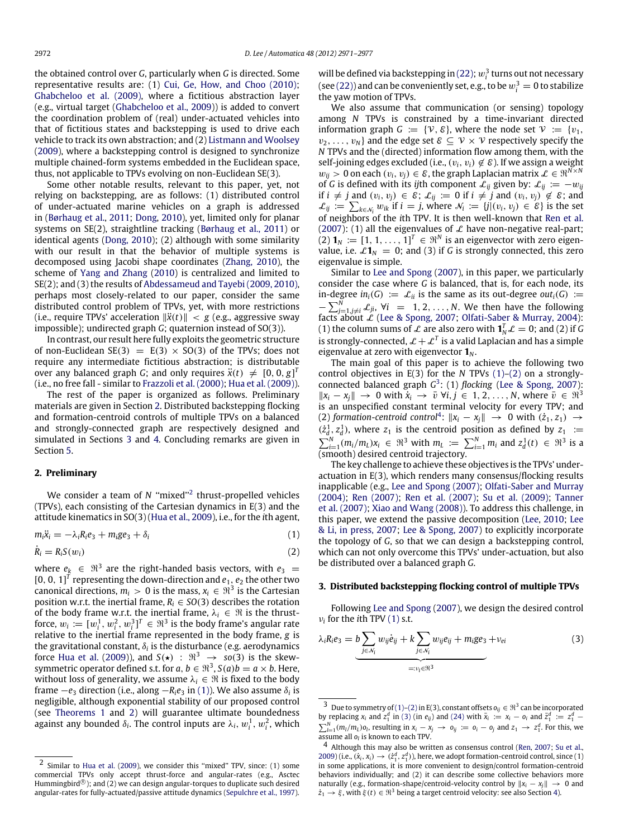the obtained control over *G*, particularly when *G* is directed. Some representative results are: (1) [Cui,](#page-5-12) [Ge,](#page-5-12) [How,](#page-5-12) [and](#page-5-12) [Choo](#page-5-12) [\(2010\);](#page-5-12) [Ghabcheloo](#page-5-4) [et al.](#page-5-4) [\(2009\),](#page-5-4) where a fictitious abstraction layer (e.g., virtual target [\(Ghabcheloo](#page-5-4) [et al.,](#page-5-4) [2009\)](#page-5-4)) is added to convert the coordination problem of (real) under-actuated vehicles into that of fictitious states and backstepping is used to drive each vehicle to track its own abstraction; and (2) [Listmann](#page-5-13) [and](#page-5-13) [Woolsey](#page-5-13) [\(2009\)](#page-5-13), where a backstepping control is designed to synchronize multiple chained-form systems embedded in the Euclidean space, thus, not applicable to TPVs evolving on non-Euclidean SE(3).

Some other notable results, relevant to this paper, yet, not relying on backstepping, are as follows: (1) distributed control of under-actuated marine vehicles on a graph is addressed in [\(Børhaug](#page-5-3) [et al.,](#page-5-3) [2011;](#page-5-3) [Dong,](#page-5-14) [2010\)](#page-5-14), yet, limited only for planar systems on SE(2), straightline tracking [\(Børhaug](#page-5-3) [et al.,](#page-5-3) [2011\)](#page-5-3) or identical agents [\(Dong,](#page-5-14) [2010\)](#page-5-14); (2) although with some similarity with our result in that the behavior of multiple systems is decomposed using Jacobi shape coordinates [\(Zhang,](#page-6-4) [2010\)](#page-6-4), the scheme of [Yang](#page-6-5) [and](#page-6-5) [Zhang](#page-6-5) [\(2010\)](#page-6-5) is centralized and limited to SE(2); and (3) the results of [Abdessameud](#page-5-15) [and](#page-5-15) [Tayebi](#page-5-15) [\(2009,](#page-5-15) [2010\),](#page-5-16) perhaps most closely-related to our paper, consider the same distributed control problem of TPVs, yet, with more restrictions (i.e., require TPVs' acceleration  $\|\ddot{x}(t)\| < g$  (e.g., aggressive sway impossible); undirected graph *G*; quaternion instead of SO(3)).

In contrast, our result here fully exploits the geometric structure of non-Euclidean SE(3) =  $E(3) \times SO(3)$  of the TPVs; does not require any intermediate fictitious abstraction; is distributable over any balanced graph *G*; and only requires  $\ddot{x}(t) \neq [0, 0, g]^T$ (i.e., no free fall - similar to [Frazzoli](#page-5-2) [et al.](#page-5-2) [\(2000\);](#page-5-2) [Hua](#page-5-1) [et al.](#page-5-1) [\(2009\)\)](#page-5-1).

The rest of the paper is organized as follows. Preliminary materials are given in Section [2.](#page-1-0) Distributed backstepping flocking and formation-centroid controls of multiple TPVs on a balanced and strongly-connected graph are respectively designed and simulated in Sections [3](#page-1-1) and [4.](#page-4-0) Concluding remarks are given in Section [5.](#page-5-17)

#### <span id="page-1-0"></span>**2. Preliminary**

We consider a team of *N* "mixed"<sup>[2](#page-1-2)</sup> thrust-propelled vehicles (TPVs), each consisting of the Cartesian dynamics in E(3) and the attitude kinematics in SO(3) [\(Hua](#page-5-1) [et al.,](#page-5-1) [2009\)](#page-5-1), i.e., for the *i*th agent,

 $m_i\ddot{x}_i = -\lambda_i R_i e_3 + m_i g e_3 + \delta_i$  (1)

$$
\dot{R}_i = R_i S(w_i) \tag{2}
$$

where  $e_k \in \Re^3$  are the right-handed basis vectors, with  $e_3 =$  $[0, 0, 1]^T$  representing the down-direction and  $e_1, e_2$  the other two canonical directions,  $m_i > 0$  is the mass,  $x_i \in \Re^3$  is the Cartesian position w.r.t. the inertial frame,  $R_i \in SO(3)$  describes the rotation of the body frame w.r.t. the inertial frame,  $\lambda_i \in \mathcal{R}$  is the thrustforce,  $w_i\coloneqq [w_i^1,w_i^2,w_i^3]^T\in\Re^3$  is the body frame's angular rate relative to the inertial frame represented in the body frame, *g* is the gravitational constant,  $\delta_i$  is the disturbance (e.g. aerodynamics force [Hua](#page-5-1) [et al.](#page-5-1) [\(2009\)](#page-5-1)), and  $S(\star)$  :  $\mathbb{R}^3 \to so(3)$  is the skewsymmetric operator defined s.t. for  $a, b \in \mathbb{R}^3$ ,  $S(a)b = a \times b$ . Here, without loss of generality, we assume  $\lambda_i \in \mathfrak{R}$  is fixed to the body frame  $-e_3$  direction (i.e., along  $-R_ie_3$  in [\(1\)\)](#page-1-3). We also assume  $\delta_i$  is negligible, although exponential stability of our proposed control (see [Theorems 1](#page-4-1) and [2\)](#page-5-18) will guarantee ultimate boundedness against any bounded  $\delta_i$ . The control inputs are  $\lambda_i, w_i^1, w_i^2$ , which

will be defined via backstepping in [\(22\);](#page-3-0)  $w_i^3$  turns out not necessary (see [\(22\)\)](#page-3-0) and can be conveniently set, e.g., to be  $w_i^3 = 0$  to stabilize the yaw motion of TPVs.

We also assume that communication (or sensing) topology among *N* TPVs is constrained by a time-invariant directed information graph  $G := \{V, \mathcal{E}\}\)$ , where the node set  $V := \{v_1,$  $v_2, \ldots, v_N$ } and the edge set  $\mathcal{E} \subseteq \mathcal{V} \times \mathcal{V}$  respectively specify the *N* TPVs and the (directed) information flow among them, with the self-joining edges excluded (i.e.,  $(v_i, v_i) \notin \mathcal{E}$ ). If we assign a weight  $w_{ij} > 0$  on each  $(v_i, v_j) \in \mathcal{E}$ , the graph Laplacian matrix  $\mathcal{L} \in \mathbb{R}^{N \times N}$ of *G* is defined with its *ij*th component  $\mathcal{L}_{ij}$  given by:  $\mathcal{L}_{ij} := -w_{ij}$ if *i*  $\neq$  *j* and  $(v_i, v_j) \in \mathcal{E}$ ;  $\mathcal{L}_{ij}$  := 0 if *i*  $\neq$  *j* and  $(v_i, v_j) \notin \mathcal{E}$ ; and  $\mathcal{L}_{ij}$  :=  $\sum_{k \in \mathcal{N}_i} w_{ik}$  if *i* = *j*, where  $\mathcal{N}_i$  := {*j*|( $v_i, v_j$ ) ∈  $\mathcal{E}$ } is the set of neighbors of the *i*th TPV. It is then well-known that [Ren](#page-5-10) [et al.](#page-5-10) [\(2007\)](#page-5-10): (1) all the eigenvalues of  $\mathcal L$  have non-negative real-part; (2)  $\mathbf{1}_N := [1, 1, \ldots, 1]^T \in \mathbb{R}^N$  is an eigenvector with zero eigenvalue, i.e.  $\mathscr{L}1_N = 0$ ; and (3) if *G* is strongly connected, this zero eigenvalue is simple.

Similar to [Lee](#page-5-5) [and](#page-5-5) [Spong](#page-5-5) [\(2007\)](#page-5-5), in this paper, we particularly consider the case where *G* is balanced, that is, for each node, its in-degree  $in_i(G) := \mathcal{L}_{ii}$  is the same as its out-degree  $out_i(G) :=$  $-\sum_{j=1,j\neq i}^{N} \mathcal{L}_{ji}$ ,  $\forall i = 1, 2, ..., N$ . We then have the following facts about  $\mathcal L$  [\(Lee](#page-5-5) [&](#page-5-8) [Spong,](#page-5-5) [2007;](#page-5-5) [Olfati-Saber](#page-5-8) & [Murray,](#page-5-8) [2004\)](#page-5-8): (1) the column sums of  $\mathcal L$  are also zero with  $\mathbf{1}_N^T \mathcal L = 0$ ; and (2) if G is strongly-connected,  $\mathcal{L} + \mathcal{L}^T$  is a valid Laplacian and has a simple eigenvalue at zero with eigenvector **1***<sup>N</sup>* .

The main goal of this paper is to achieve the following two control objectives in E(3) for the *N* TPVs [\(1\)–](#page-1-3)[\(2\)](#page-1-4) on a stronglyconnected balanced graph *G* [3](#page-1-5) : (1) *flocking* [\(Lee](#page-5-5) [&](#page-5-5) [Spong,](#page-5-5) [2007\)](#page-5-5):  $||x_i - x_j||$  → 0 with  $\dot{x}_i$  →  $\bar{v}$   $\forall i, j \in 1, 2, ..., N$ , where  $\bar{v} \in \mathbb{R}^3$ is an unspecified constant terminal velocity for every TPV; and (2) *formation-centroid control*<sup>[4](#page-1-6)</sup>:  $||x_i - x_j||$  → 0 with  $(z_1, z_1)$  →  $(\dot{z}_d^1, z_d^1)$ , where  $z_1$  is the centroid position as defined by  $z_1 :=$  $\sum_{i=1}^{N} (m_i/m_L)x_i \in \Re^3$  with  $m_L := \sum_{i=1}^{N} m_i$  and  $z_d^1(t) \in \Re^3$  is a  $\overline{a}$  (smooth) desired centroid trajectory.

The key challenge to achieve these objectives is the TPVs' underactuation in E(3), which renders many consensus/flocking results inapplicable (e.g., [Lee](#page-5-5) [and](#page-5-5) [Spong](#page-5-5) [\(2007\);](#page-5-5) [Olfati-Saber](#page-5-8) [and](#page-5-8) [Murray](#page-5-8) [\(2004\);](#page-5-8) [Ren](#page-5-9) [\(2007\);](#page-5-9) [Ren](#page-5-10) [et al.](#page-5-10) [\(2007\);](#page-5-10) [Su](#page-6-2) [et al.](#page-6-2) [\(2009\);](#page-6-2) [Tanner](#page-6-1) [et al.](#page-6-1) [\(2007\);](#page-6-1) [Xiao](#page-6-3) [and](#page-6-3) [Wang](#page-6-3) [\(2008\)\)](#page-6-3). To address this challenge, in this paper, we extend the passive decomposition [\(Lee,](#page-5-6) [2010;](#page-5-6) [Lee](#page-5-19) [&](#page-5-19) [Li,](#page-5-19) [in press,](#page-5-19) [2007;](#page-5-19) [Lee](#page-5-7) [&](#page-5-7) [Spong,](#page-5-7) [2007\)](#page-5-7) to explicitly incorporate the topology of *G*, so that we can design a backstepping control, which can not only overcome this TPVs' under-actuation, but also be distributed over a balanced graph *G*.

#### <span id="page-1-4"></span><span id="page-1-3"></span><span id="page-1-1"></span>**3. Distributed backstepping flocking control of multiple TPVs**

Following [Lee](#page-5-5) [and](#page-5-5) [Spong](#page-5-5) [\(2007\)](#page-5-5), we design the desired control  $v_i$  for the *i*th TPV [\(1\)](#page-1-3) s.t.

<span id="page-1-7"></span>
$$
\lambda_i R_i e_3 = b \underbrace{\sum_{j \in \mathcal{N}_i} w_{ij} \dot{e}_{ij} + k \sum_{j \in \mathcal{N}_i} w_{ij} e_{ij} + m_i g e_3 + v_{ei}}_{=: v_i \in \mathbb{N}^3}
$$
(3)

<span id="page-1-2"></span><sup>2</sup> Similar to [Hua](#page-5-1) [et al.](#page-5-1) [\(2009\)](#page-5-1), we consider this ''mixed'' TPV, since: (1) some commercial TPVs only accept thrust-force and angular-rates (e.g., Asctec Hummingbird®); and (2) we can design angular-torques to duplicate such desired angular-rates for fully-actuated/passive attitude dynamics [\(Sepulchre](#page-5-11) [et al.,](#page-5-11) [1997\)](#page-5-11).

<span id="page-1-5"></span><sup>&</sup>lt;sup>3</sup> Due to symmetry of [\(1\)–](#page-1-3)[\(2\)](#page-1-4) in E(3), constant offsets  $o_{ij} \in \mathbb{R}^3$  can be incorporated by replacing  $x_i$  and  $z_1^d$  in [\(3\)](#page-1-7) (in  $e_{ij}$ ) and [\(24\)](#page-4-2) with  $\bar{x}_i := x_i - o_i$  and  $\bar{z}_1^d := z_1^d$  $\sum_{l=1}^{N} (m_l/m_l) o_l$ , resulting in  $x_i - x_j \rightarrow o_{ij} := o_i - o_j$  and  $z_1 \rightarrow z_1^d$ . For this, we assume all *o<sup>l</sup>* is known to each TPV.

<span id="page-1-6"></span><sup>4</sup> Although this may also be written as consensus control [\(Ren,](#page-5-9) [2007;](#page-5-9) [Su](#page-6-2) [et al.,](#page-6-2) [2009\)](#page-6-2) (i.e.,  $(\dot{x}_i, x_i) \rightarrow (\dot{z}_1^d, z_1^d)$ ), here, we adopt formation-centroid control, since (1) in some applications, it is more convenient to design/control formation-centroid behaviors individually; and (2) it can describe some collective behaviors more naturally (e.g., formation-shape/centroid-velocity control by  $||x_i - x_j|| \to 0$  and  $\dot{z}_1 \rightarrow \xi$ , with  $\xi(t) \in \mathbb{R}^3$  being a target centroid velocity: see also Section [4\)](#page-4-0).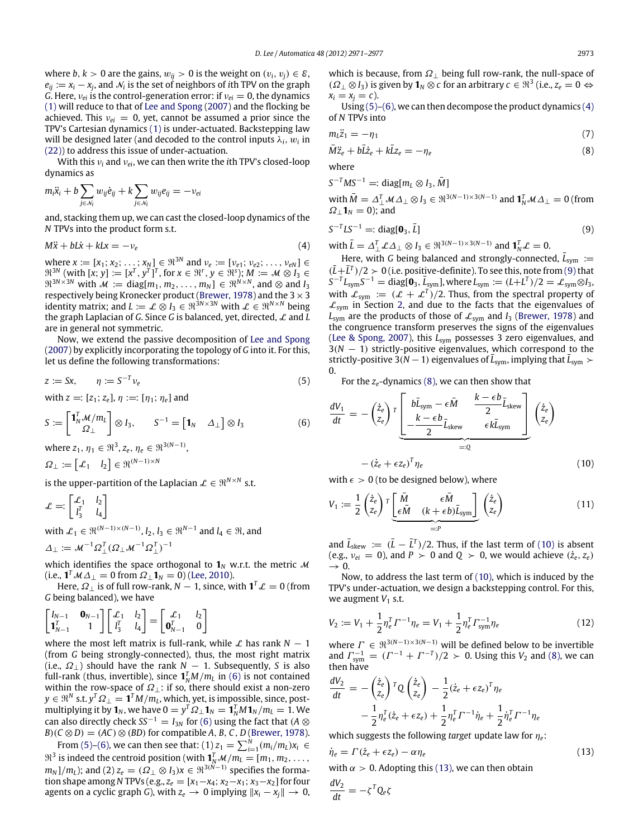where *b*, *k* > 0 are the gains,  $w_{ij}$  > 0 is the weight on  $(v_i, v_j) \in \mathcal{E}$ ,  $e_{ij} \coloneqq x_i - x_j$ , and  $\mathcal{N}_i$  is the set of neighbors of *i*th TPV on the graph *G*. Here,  $v_{ei}$  is the control-generation error: if  $v_{ei} = 0$ , the dynamics [\(1\)](#page-1-3) will reduce to that of [Lee](#page-5-5) [and](#page-5-5) [Spong](#page-5-5) [\(2007\)](#page-5-5) and the flocking be achieved. This  $v_{ei} = 0$ , yet, cannot be assumed a prior since the TPV's Cartesian dynamics [\(1\)](#page-1-3) is under-actuated. Backstepping law will be designed later (and decoded to the control inputs  $\lambda_i, \, w_i$  in [\(22\)\)](#page-3-0) to address this issue of under-actuation.

With this ν*<sup>i</sup>* and ν*ei*, we can then write the *i*th TPV's closed-loop dynamics as

$$
m_i \ddot{x}_i + b \sum_{j \in \mathcal{N}_i} w_{ij} \dot{e}_{ij} + k \sum_{j \in \mathcal{N}_i} w_{ij} e_{ij} = -v_{ei}
$$

and, stacking them up, we can cast the closed-loop dynamics of the *N* TPVs into the product form s.t.

$$
M\ddot{x} + bL\dot{x} + kLx = -v_e \tag{4}
$$

where  $x := [x_1; x_2; \dots; x_N] \in \Re^{3N}$  and  $v_e := [v_{e1}; v_{e2}; \dots, v_{eN}] \in$  $\mathfrak{R}^{3N}$  (with  $[x; y] := [x^T, y^T]^T$ , for  $x \in \mathfrak{R}^r, y \in \mathfrak{R}^s$ );  $M := \mathcal{M} \otimes I_3 \in \mathfrak{R}^s$  $\mathfrak{R}^{3N\times 3N}$  with  $\mathcal{M} := \text{diag}[m_1, m_2, \dots, m_N] \in \mathfrak{R}^{N\times N}$ , and  $\otimes$  and  $I_3$ respectively being Kronecker product [\(Brewer,](#page-5-20) [1978\)](#page-5-20) and the  $3\times3$ identity matrix; and  $L := \mathcal{L} \otimes I_3 \in \mathbb{R}^{3N \times 3N}$  with  $\mathcal{L} \in \mathbb{R}^{N \times N}$  being the graph Laplacian of *G*. Since *G* is balanced, yet, directed, L and *L* are in general not symmetric.

Now, we extend the passive decomposition of [Lee](#page-5-5) [and](#page-5-5) [Spong](#page-5-5) [\(2007\)](#page-5-5) by explicitly incorporating the topology of *G* into it. For this, let us define the following transformations:

$$
z := Sx, \qquad \eta := S^{-T} \nu_e \tag{5}
$$

with  $z =: [z_1; z_e]$ ,  $\eta :=: [\eta_1; \eta_e]$  and

$$
S := \begin{bmatrix} \mathbf{1}_N^T \mathcal{M}/m_L \\ \Omega_\perp \end{bmatrix} \otimes I_3, \qquad S^{-1} = \begin{bmatrix} \mathbf{1}_N & \Delta_\perp \end{bmatrix} \otimes I_3
$$
(6)  
where  $z_1, \eta_1 \in \mathbb{R}^3$ ,  $z_e, \eta_e \in \mathbb{R}^{3(N-1)}$ ,

 $\Omega_{\perp} := \begin{bmatrix} \mathcal{L}_1 & l_2 \end{bmatrix} \in \mathfrak{R}^{(N-1)\times N}$ 

is the upper-partition of the Laplacian  $\mathcal{L} \in \mathfrak{R}^{N \times N}$  s.t.

 $\mathcal{L} = \begin{bmatrix} \mathcal{L}_1 & l_2 \\ \frac{I}{I} & I \end{bmatrix}$  $l_3^T$   $l_4$ 1

with  $\mathcal{L}_1 \in \mathfrak{R}^{(N-1)\times(N-1)}$ ,  $l_2, l_3 \in \mathfrak{R}^{N-1}$  and  $l_4 \in \mathfrak{R}$ , and

 $\varDelta_\perp \coloneqq \mathcal{M}^{-1} \Omega_\perp^T (\varOmega_\perp \mathcal{M}^{-1} \Omega_\perp^T)^{-1}$ 

which identifies the space orthogonal to  $\mathbf{1}_N$  w.r.t. the metric M  $(i.e., \mathbf{1}^T \mathcal{M} \Delta_\perp = 0$  from  $\Omega_\perp \mathbf{1}_N = 0$ ) [\(Lee,](#page-5-6) [2010\)](#page-5-6).

Here,  $\varOmega_\perp$  is of full row-rank,  $N-1$ , since, with  $\mathbf{1}^T \mathcal{L} = 0$  (from *G* being balanced), we have

$$
\begin{bmatrix} I_{N-1} & \mathbf{0}_{N-1} \\ \mathbf{1}_{N-1}^T & 1 \end{bmatrix} \begin{bmatrix} \mathcal{L}_1 & l_2 \\ l_3^T & l_4 \end{bmatrix} = \begin{bmatrix} \mathcal{L}_1 & l_2 \\ \mathbf{0}_{N-1}^T & 0 \end{bmatrix}
$$

where the most left matrix is full-rank, while  $\mathcal L$  has rank  $N-1$ (from *G* being strongly-connected), thus, the most right matrix (i.e., Ω⊥) should have the rank *N* − 1. Subsequently, *S* is also full-rank (thus, invertible), since  $\mathbf{1}_N^T M/m_L$  in [\(6\)](#page-2-0) is not contained within the row-space of  $\Omega_{\perp}$ : if so, there should exist a non-zero  $y \in \mathfrak{R}^N$  s.t.  $y^T \mathfrak{Q}_{\perp} = \mathbf{1}^T M / m_L$ , which, yet, is impossible, since, postmultiplying it by  $\mathbf{1}_N$ , we have  $0 = y^T \Omega_{\perp} \mathbf{1}_N = \mathbf{1}_N^T M \mathbf{1}_N / m_L = 1$ . We can also directly check  $SS^{-1} = I_{3N}$  for [\(6\)](#page-2-0) using the fact that (*A* ⊗ *B*)( $C \otimes D$ ) = ( $AC$ )  $\otimes$  ( $BD$ ) for compatible *A*, *B*, *C*, *D* [\(Brewer,](#page-5-20) [1978\)](#page-5-20).

From [\(5\)–](#page-2-1)[\(6\),](#page-2-0) we can then see that: (1)  $z_1 = \sum_{i=1}^{N} (m_i/m_L) x_i \in$  $\mathbb{R}^3$  is indeed the centroid position (with  $\mathbf{1}_N^T \mathcal{M}/m_L = [m_1, m_2, \dots, m_L]$  $m_N$ ]/ $m_L$ ); and (2)  $z_e = (\varOmega_\perp \otimes I_3)x \in \Re^{3(\dot{N}-1)}$  specifies the formation shape among *N* TPVs (e.g.,  $z_e = [x_1 - x_4; x_2 - x_1; x_3 - x_2]$  for four agents on a cyclic graph *G*), with  $z_e \rightarrow 0$  implying  $||x_i - x_j|| \rightarrow 0$ ,

which is because, from  $\Omega_{\perp}$  being full row-rank, the null-space of  $(\Omega_{\perp} \otimes I_3)$  is given by  $\mathbf{1}_N \otimes c$  for an arbitrary  $c \in \mathbb{R}^3$  (i.e.,  $z_e = 0 \Leftrightarrow$  $x_i = x_j = c$ .

Using  $(5)-(6)$  $(5)-(6)$ , we can then decompose the product dynamics  $(4)$ of *N* TPVs into

$$
m_l \ddot{z}_1 = -\eta_1 \tag{7}
$$

$$
\bar{M}\ddot{z}_e + b\bar{L}\dot{z}_e + k\bar{L}z_e = -\eta_e \tag{8}
$$

where  $G-T = 50I$ 

S<sup>1</sup>MS<sup>2</sup> =: diag[m<sub>L</sub> 
$$
\otimes
$$
 I<sub>3</sub>, M]  
with  $\overline{M} = \Delta_{\perp}^{T} M \Delta_{\perp} \otimes I_3 \in \mathbb{R}^{3(N-1) \times 3(N-1)}$  and  $\mathbf{1}_{N}^{T} M \Delta_{\perp} = 0$  (from  $\Omega_{\perp} \mathbf{1}_{N} = 0$ ); and

$$
S^{-T}LS^{-1} =: diag[\mathbf{0}_3, \bar{L}]
$$
\n(9)

<span id="page-2-2"></span>with  $\bar{L} = \Delta_{\perp}^T \mathcal{L} \Delta_{\perp} \otimes I_3 \in \mathfrak{R}^{3(N-1)\times 3(N-1)}$  and  $\mathbf{1}_N^T \mathcal{L} = 0$ .

<span id="page-2-9"></span><span id="page-2-4"></span><span id="page-2-3"></span><sup>−</sup>*<sup>T</sup> MS*−<sup>1</sup> =: diag[*m<sup>L</sup>* ⊗ *<sup>I</sup>*3, *<sup>M</sup>*¯ ]

Here, with *G* being balanced and strongly-connected,  $\bar{L}_{sym}$  :=  $(\bar{L} + \bar{L}^T)/2 > 0$  (i.e. positive-definite). To see this, note from [\(9\)](#page-2-3) that  $S^{-T}L_{sym}S^{-1}$  = diag[**0**<sub>3</sub>,  $\bar{L}_{sym}$ ], where  $L_{sym} := (L+L^{T})/2 = \pounds_{sym} ⊗ I_3$ , with  $\mathcal{L}_{sym} := (\mathcal{L} + \mathcal{L}^T)/2$ . Thus, from the spectral property of  $\mathcal{L}_{sym}$  in Section [2,](#page-1-0) and due to the facts that the eigenvalues of  $L_{sym}$  are the products of those of  $\mathcal{L}_{sym}$  and *I*<sub>3</sub> [\(Brewer,](#page-5-20) [1978\)](#page-5-20) and the congruence transform preserves the signs of the eigenvalues [\(Lee](#page-5-5) [&](#page-5-5) [Spong,](#page-5-5) [2007\)](#page-5-5), this  $L_{sym}$  possesses 3 zero eigenvalues, and 3(*N* − 1) strictly-positive eigenvalues, which correspond to the strictly-positive  $3(N - 1)$  eigenvalues of  $\overline{L}_{sym}$ , implying that  $\overline{L}_{sym}$  > 0.

<span id="page-2-1"></span>For the *ze*-dynamics [\(8\),](#page-2-4) we can then show that

<span id="page-2-0"></span>
$$
\frac{dV_1}{dt} = -\left(\frac{\dot{z}_e}{z_e}\right)^T \underbrace{\begin{bmatrix} b\bar{L}_{sym} - \epsilon \bar{M} & \frac{k - \epsilon b}{2} \bar{L}_{skew} \\ -\frac{k - \epsilon b}{2} \bar{L}_{skew} & \epsilon k \bar{L}_{sym} \end{bmatrix}}_{=:Q} \left(\frac{\dot{z}_e}{z_e}\right)
$$
\n
$$
-(\dot{z}_e + \epsilon z_e)^T \eta_e \tag{10}
$$

<span id="page-2-5"></span>with  $\epsilon > 0$  (to be designed below), where

<span id="page-2-7"></span>
$$
V_1 := \frac{1}{2} \begin{pmatrix} \dot{z}_e \\ z_e \end{pmatrix}^T \underbrace{\begin{bmatrix} \bar{M} & \epsilon \bar{M} \\ \epsilon \bar{M} & (k + \epsilon b) \bar{L}_{sym} \end{bmatrix}}_{=:P} \begin{pmatrix} \dot{z}_e \\ z_e \end{pmatrix}
$$
 (11)

and  $\bar{L}_{\text{skew}} := (\bar{L} - \bar{L}^T)/2$ . Thus, if the last term of [\(10\)](#page-2-5) is absent (e.g.,  $v_{ei} = 0$ ), and  $P > 0$  and  $Q > 0$ , we would achieve  $(\dot{z}_e, z_e)$  $\rightarrow$  0.

Now, to address the last term of [\(10\),](#page-2-5) which is induced by the TPV's under-actuation, we design a backstepping control. For this, we augment  $V_1$  s.t.

<span id="page-2-8"></span>
$$
V_2 := V_1 + \frac{1}{2} \eta_e^T \Gamma^{-1} \eta_e = V_1 + \frac{1}{2} \eta_e^T \Gamma_{sym}^{-1} \eta_e \tag{12}
$$

where  $\Gamma \in \mathbb{R}^{3(N-1)\times 3(N-1)}$  will be defined below to be invertible and  $\Gamma_{sym}^{-1} = (\Gamma^{-1} + \Gamma^{-T})/2 > 0$ . Using this *V*<sub>2</sub> and [\(8\),](#page-2-4) we can then have

$$
\frac{dV_2}{dt} = -\left(\frac{\dot{z}_e}{z_e}\right)^T Q \left(\frac{\dot{z}_e}{z_e}\right) - \frac{1}{2} (\dot{z}_e + \epsilon z_e)^T \eta_e
$$

$$
- \frac{1}{2} \eta_e^T (\dot{z}_e + \epsilon z_e) + \frac{1}{2} \eta_e^T \Gamma^{-1} \dot{\eta}_e + \frac{1}{2} \dot{\eta}_e^T \Gamma^{-1} \eta_e
$$

<span id="page-2-6"></span>which suggests the following *target* update law for η*e*:

$$
\dot{\eta}_e = \Gamma(\dot{z}_e + \epsilon z_e) - \alpha \eta_e \tag{13}
$$

with  $\alpha > 0$ . Adopting this [\(13\),](#page-2-6) we can then obtain

$$
\frac{dV_2}{dt} = -\zeta^T Q_e \zeta
$$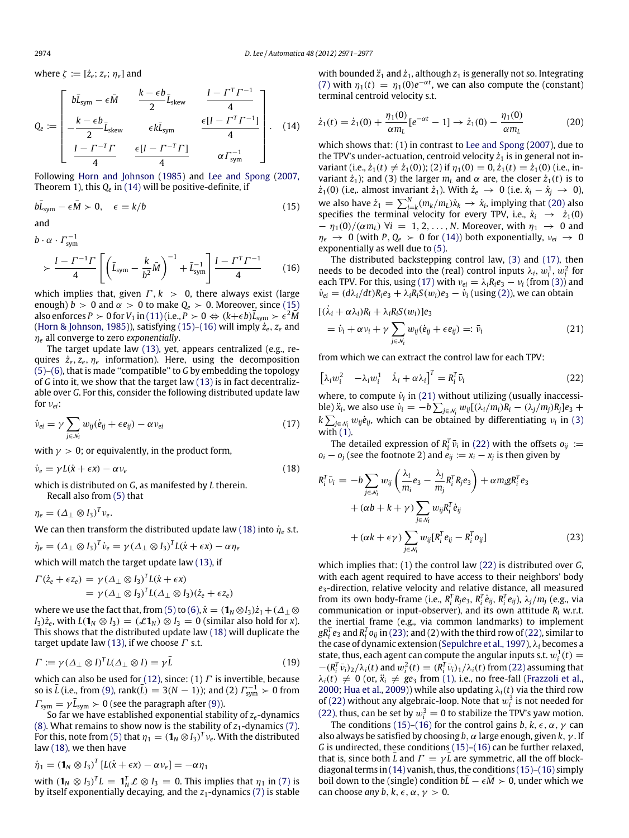where  $\zeta := [\dot{z}_e; z_e; \eta_e]$  and

$$
Q_e := \begin{bmatrix} b\bar{L}_{sym} - \epsilon \bar{M} & \frac{k - \epsilon b}{2} \bar{L}_{skew} & \frac{I - \Gamma^T \Gamma^{-1}}{4} \\ -\frac{k - \epsilon b}{2} \bar{L}_{skew} & \epsilon k \bar{L}_{sym} & \frac{\epsilon [I - \Gamma^T \Gamma^{-1}]}{4} \\ \frac{I - \Gamma^{-T} \Gamma}{4} & \frac{\epsilon [I - \Gamma^{-T} \Gamma]}{4} & \alpha \Gamma_{sym}^{-1} \end{bmatrix} .
$$
 (14)

Following [Horn](#page-5-21) [and](#page-5-21) [Johnson](#page-5-21) [\(1985\)](#page-5-21) and [Lee](#page-5-5) [and](#page-5-5) [Spong](#page-5-5) [\(2007,](#page-5-5) Theorem 1), this *Q<sup>e</sup>* in [\(14\)](#page-3-1) will be positive-definite, if

$$
b\bar{L}_{sym} - \epsilon \bar{M} \succ 0, \quad \epsilon = k/b \tag{15}
$$

and

 $b \cdot \alpha \cdot \Gamma_{sym}^{-1}$  $\frac{I - \Gamma^{-1} \Gamma}{I}$ 4  $\int \left( \bar{L}_{sym} - \frac{k}{k^2} \right)$  $\left(\frac{k}{b^2}\bar{M}\right)^{-1} + \bar{L}_{\text{sym}}^{-1} \left[\frac{I - \Gamma^T\Gamma^{-1}}{4}\right]$ 4 (16)

which implies that, given  $\Gamma$ ,  $k > 0$ , there always exist (large enough)  $\bar{b} > 0$  and  $\alpha > 0$  to make  $Q_e > 0$ . Moreover, since [\(15\)](#page-3-2) also enforces *P* > 0 for *V*<sub>1</sub> in [\(11\)](#page-2-7) (i.e., *P* > 0  $\Leftrightarrow$   $(k+\epsilon b)\bar{L}_{sym} > \epsilon^2\bar{M}$ [\(Horn](#page-5-21) [&](#page-5-21) [Johnson,](#page-5-21) [1985\)](#page-5-21)), satisfying  $(15)$ – $(16)$  will imply  $\dot{z}_e$ ,  $z_e$  and η*<sup>e</sup>* all converge to zero *exponentially*.

The target update law [\(13\),](#page-2-6) yet, appears centralized (e.g., requires  $\dot{z}_e, z_e, \eta_e$  information). Here, using the decomposition [\(5\)](#page-2-1)[–\(6\),](#page-2-0) that is made ''compatible'' to *G* by embedding the topology of *G* into it, we show that the target law [\(13\)](#page-2-6) is in fact decentralizable over *G*. For this, consider the following distributed update law for ν*ei*:

$$
\dot{\nu}_{ei} = \gamma \sum_{j \in \mathcal{N}_i} w_{ij} (\dot{e}_{ij} + \epsilon e_{ij}) - \alpha \nu_{ei}
$$
\n(17)

with  $\gamma > 0$ ; or equivalently, in the product form,

$$
\dot{\nu}_e = \gamma L(\dot{x} + \epsilon x) - \alpha \nu_e \tag{18}
$$

which is distributed on *G*, as manifested by *L* therein. Recall also from [\(5\)](#page-2-1) that

 $\eta_e = (\Delta_\perp \otimes I_3)^T v_e.$ 

We can then transform the distributed update law [\(18\)](#page-3-4) into  $\dot{\eta}_e$  s.t.

$$
\dot{\eta}_e = (\Delta_\perp \otimes I_3)^T \dot{\nu}_e = \gamma (\Delta_\perp \otimes I_3)^T L(\dot{x} + \epsilon x) - \alpha \eta_e
$$

which will match the target update law [\(13\),](#page-2-6) if

$$
\Gamma(\dot{z}_e + \epsilon z_e) = \gamma (\Delta_\perp \otimes I_3)^T L(\dot{x} + \epsilon x)
$$
  
=  $\gamma (\Delta_\perp \otimes I_3)^T L(\Delta_\perp \otimes I_3) (\dot{z}_e + \epsilon z_e)$ 

where we use the fact that, from [\(5\)](#page-2-1) to [\(6\),](#page-2-0)  $\dot{x} = (\mathbf{1}_N \otimes I_3)\dot{z}_1 + (\Delta_\perp \otimes I_3)\dot{z}_2$  $I_3$ ) $\dot{z}_e$ , with  $L(\mathbf{1}_N \otimes I_3) = (\mathcal{L}\mathbf{1}_N) \otimes I_3 = 0$  (similar also hold for *x*). This shows that the distributed update law [\(18\)](#page-3-4) will duplicate the target update law [\(13\),](#page-2-6) if we choose  $\Gamma$  s.t.

$$
\Gamma := \gamma (\Delta_{\perp} \otimes I)^{T} L(\Delta_{\perp} \otimes I) = \gamma \bar{L}
$$
\n(19)

which can also be used for [\(12\),](#page-2-8) since: (1)  $\Gamma$  is invertible, because  $\frac{1}{2}$  (i.e., from [\(9\),](#page-2-3) rank(*L* $)$  = 3(*N* − 1)); and (2)  $\Gamma_{sym}^{-1}$  > 0 from  $\Gamma_{\text{sym}} = \gamma \bar{L}_{\text{sym}} \succ 0$  (see the paragraph after [\(9\)\)](#page-2-3).

So far we have established exponential stability of *ze*-dynamics [\(8\).](#page-2-4) What remains to show now is the stability of  $z_1$ -dynamics [\(7\).](#page-2-9) For this, note from [\(5\)](#page-2-1) that  $\eta_1 = (\mathbf{1}_N \otimes I_3)^T v_e$ . With the distributed law [\(18\),](#page-3-4) we then have

$$
\dot{\eta}_1 = \left(\mathbf{1}_N \otimes I_3\right)^T \left[L(\dot{x} + \epsilon x) - \alpha v_e\right] = -\alpha \eta_1
$$

with  $(\mathbf{1}_N \otimes I_3)^T L = \mathbf{1}_N^T \mathcal{L} \otimes I_3 = 0$ . This implies that  $\eta_1$  in [\(7\)](#page-2-9) is by itself exponentially decaying, and the *z*1-dynamics [\(7\)](#page-2-9) is stable <span id="page-3-1"></span>with bounded  $\ddot{z}_1$  and  $\dot{z}_1$ , although  $z_1$  is generally not so. Integrating [\(7\)](#page-2-9) with  $\eta_1(t) = \eta_1(0)e^{-\alpha t}$ , we can also compute the (constant) terminal centroid velocity s.t.

<span id="page-3-5"></span>
$$
\dot{z}_1(t) = \dot{z}_1(0) + \frac{\eta_1(0)}{\alpha m_L} [e^{-\alpha t} - 1] \to \dot{z}_1(0) - \frac{\eta_1(0)}{\alpha m_L}
$$
(20)

which shows that: (1) in contrast to [Lee](#page-5-5) [and](#page-5-5) [Spong](#page-5-5) [\(2007\)](#page-5-5), due to the TPV's under-actuation, centroid velocity  $\dot{z}_1$  is in general not invariant (i.e.,  $\dot{z}_1(t) \neq \dot{z}_1(0)$ ); (2) if  $\eta_1(0) = 0, \dot{z}_1(t) = \dot{z}_1(0)$  (i.e., invariant  $\dot{z}_1$ ); and (3) the larger  $m_l$  and  $\alpha$  are, the closer  $\dot{z}_1(t)$  is to  $\dot{z}_1(0)$  (i.e., almost invariant  $\dot{z}_1$ ). With  $\dot{z}_e \rightarrow 0$  (i.e.  $\dot{x}_i - \dot{x}_j \rightarrow 0$ ), we also have  $\dot{z}_1 = \sum_{i=k}^{N} (m_k/m_L)\dot{x}_k \rightarrow \dot{x}_i$ , implying that [\(20\)](#page-3-5) also specifies the terminal velocity for every TPV, i.e.,  $\dot{x}_i \rightarrow \dot{z}_1(0)$  $-\eta_1(0)/(\alpha m_l)$   $\forall i = 1, 2, ..., N$ . Moreover, with  $\eta_1 \rightarrow 0$  and  $\eta_e \rightarrow 0$  (with *P*,  $Q_e > 0$  for [\(14\)\)](#page-3-1) both exponentially,  $v_{ei} \rightarrow 0$ exponentially as well due to [\(5\).](#page-2-1)

<span id="page-3-3"></span><span id="page-3-2"></span>The distributed backstepping control law, [\(3\)](#page-1-7) and [\(17\),](#page-3-6) then needs to be decoded into the (real) control inputs  $\lambda_i$ ,  $w_i^1$ ,  $w_i^2$  for each TPV. For this, using [\(17\)](#page-3-6) with  $v_{ei} = \lambda_i R_i e_3 - v_i$  (from [\(3\)\)](#page-1-7) and  $\dot{v}_{ei} = (d\lambda_i/dt)R_ie_3 + \lambda_iR_iS(w_i)e_3 - \dot{v}_i$  (using [\(2\)\)](#page-1-4), we can obtain

<span id="page-3-7"></span>
$$
[(\dot{\lambda}_i + \alpha \lambda_i)R_i + \lambda_i R_i S(w_i)]e_3
$$
  
=  $\dot{\nu}_i + \alpha \nu_i + \gamma \sum_{j \in \mathcal{N}_i} w_{ij}(\dot{e}_{ij} + \epsilon e_{ij}) =: \bar{\nu}_i$  (21)

from which we can extract the control law for each TPV:

<span id="page-3-0"></span>
$$
\begin{bmatrix} \lambda_i w_i^2 & -\lambda_i w_i^1 & \dot{\lambda}_i + \alpha \lambda_i \end{bmatrix}^T = R_i^T \bar{\nu}_i
$$
 (22)

where, to compute  $\dot{v}_i$  in [\(21\)](#page-3-7) without utilizing (usually inaccessible)  $\ddot{x}_i$ , we also use  $\dot{v}_i = -b \sum_{j \in \mathcal{N}_i} w_{ij}[(\lambda_i/m_i)R_i - (\lambda_j/m_j)R_j]e_3 +$  $k\sum_{j\in\mathcal{N}_i} w_{ij}e_{ij}$ , which can be obtained by differentiating  $v_i$  in [\(3\)](#page-1-7) with  $(1)$ .

<span id="page-3-6"></span>The detailed expression of  $R_i^T \bar{\nu}_i$  in [\(22\)](#page-3-0) with the offsets  $o_{ij}$  :=  $o_i - o_j$  (see the footnote 2) and  $e_{ij} := x_i - x_j$  is then given by

<span id="page-3-4"></span>
$$
R_i^T \bar{\nu}_i = -b \sum_{j \in \mathcal{N}_i} w_{ij} \left( \frac{\lambda_i}{m_i} e_3 - \frac{\lambda_j}{m_j} R_i^T R_j e_3 \right) + \alpha m_i g R_i^T e_3
$$
  
+  $(\alpha b + k + \gamma) \sum_{j \in \mathcal{N}_i} w_{ij} R_i^T \dot{e}_{ij}$   
+  $(\alpha k + \epsilon \gamma) \sum_{j \in \mathcal{N}_i} w_{ij} [R_i^T e_{ij} - R_i^T o_{ij}]$  (23)

<span id="page-3-8"></span>which implies that: (1) the control law [\(22\)](#page-3-0) is distributed over *G*, with each agent required to have access to their neighbors' body *e*3-direction, relative velocity and relative distance, all measured from its own body-frame (i.e.,  $R_i^T R_j e_3$ ,  $R_i^T \dot{e}_{ij}$ ,  $R_i^T e_{ij}$ ),  $\lambda_j/m_j$  (e.g., via communication or input-observer), and its own attitude *R<sup>i</sup>* w.r.t. the inertial frame (e.g., via common landmarks) to implement  $gR_i^Te_3$  and  $R_i^To_{ij}$  in [\(23\);](#page-3-8) and (2) with the third row of [\(22\),](#page-3-0) similar to the case of dynamic extension [\(Sepulchre](#page-5-11) [et al.,](#page-5-11) [1997\)](#page-5-11), λ*<sup>i</sup>* becomes a state, thus, each agent can compute the angular inputs s.t.  $w_i^1(t) =$  $-(R_i^T \bar{v}_i)_2/\lambda_i(t)$  and  $w_i^2(t) = (R_i^T \bar{v}_i)_1/\lambda_i(t)$  from [\(22\)](#page-3-0) assuming that  $\lambda_i(t) \neq 0$  (or,  $\ddot{x}_i \neq ge_3$  from [\(1\),](#page-1-3) i.e., no free-fall [\(Frazzoli](#page-5-2) [et al.,](#page-5-2) [2000;](#page-5-2) [Hua](#page-5-1) [et al.,](#page-5-1) [2009\)](#page-5-1)) while also updating  $\lambda_i(t)$  via the third row of [\(22\)](#page-3-0) without any algebraic-loop. Note that  $w_i^3$  is not needed for [\(22\),](#page-3-0) thus, can be set by  $w_i^3 = 0$  to stabilize the TPV's yaw motion.

The conditions [\(15\)](#page-3-2)[–\(16\)](#page-3-3) for the control gains *b*,  $k$ ,  $\epsilon$ ,  $\alpha$ ,  $\gamma$  can also always be satisfied by choosing *b*, α large enough, given *k*, γ . If *G* is undirected, these conditions [\(15\)–](#page-3-2)[\(16\)](#page-3-3) can be further relaxed, that is, since both  $\overline{L}$  and  $\overline{\Gamma} = \gamma \overline{L}$  are symmetric, all the off blockdiagonal terms in [\(14\)](#page-3-1) vanish, thus, the conditions [\(15\)–](#page-3-2)[\(16\)](#page-3-3) simply boil down to the (single) condition  $bL - \epsilon M > 0$ , under which we can choose *any* b,  $k, \epsilon, \alpha, \gamma > 0$ .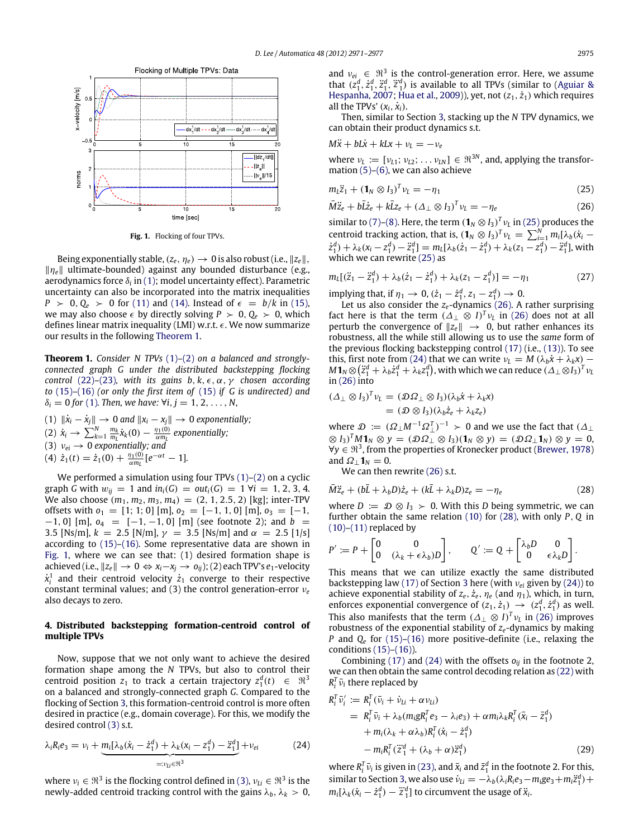<span id="page-4-3"></span>

**Fig. 1.** Flocking of four TPVs.

Being exponentially stable,  $(z_e, \eta_e) \rightarrow 0$  is also robust (i.e.,  $||z_e||$ , ∥η*e*∥ ultimate-bounded) against any bounded disturbance (e.g., aerodynamics force  $\delta_{i}$  in [\(1\);](#page-1-3) model uncertainty effect). Parametric uncertainty can also be incorporated into the matrix inequalities  $P > 0, Q_e > 0$  for [\(11\)](#page-2-7) and [\(14\).](#page-3-1) Instead of  $\epsilon = b/k$  in [\(15\),](#page-3-2) we may also choose  $\epsilon$  by directly solving  $P > 0$ ,  $Q_e > 0$ , which defines linear matrix inequality (LMI) w.r.t.  $\epsilon$ . We now summarize our results in the following [Theorem 1.](#page-4-1)

<span id="page-4-1"></span>**Theorem 1.** *Consider N TPVs* [\(1\)](#page-1-3)*–*[\(2\)](#page-1-4) *on a balanced and stronglyconnected graph G under the distributed backstepping flocking control* [\(22\)](#page-3-0)–[\(23\)](#page-3-8), with its gains  $b, k, \epsilon, \alpha, \gamma$  chosen according *to* [\(15\)](#page-3-2)*–*[\(16\)](#page-3-3) *(or only the first item of* [\(15\)](#page-3-2) *if G is undirected) and*  $\delta_i = 0$  for [\(1\)](#page-1-3). Then, we have:  $\forall i, j = 1, 2, ..., N$ ,

(1) 
$$
\|\dot{x}_i - \dot{x}_j\| \to 0
$$
 and  $\|x_i - x_j\| \to 0$  exponentially;  
\n(2)  $\dot{x}_i \to \sum_{k=1}^N \frac{m_k}{m_L} \dot{x}_k(0) - \frac{\eta_1(0)}{\alpha m_L}$  exponentially;  
\n(3)  $v_{ei} \to 0$  exponentially; and  
\n(4)  $\dot{z}_1(t) = \dot{z}_1(0) + \frac{\eta_1(0)}{\alpha m_L} [e^{-\alpha t} - 1].$ 

We performed a simulation using four TPVs [\(1\)](#page-1-3)[–\(2\)](#page-1-4) on a cyclic graph *G* with  $w_{ii} = 1$  and  $in_i(G) = out_i(G) = 1 \forall i = 1, 2, 3, 4$ . We also choose  $(m_1, m_2, m_3, m_4) = (2, 1, 2.5, 2)$  [kg]; inter-TPV offsets with  $o_1 = [1; 1; 0]$  [m],  $o_2 = [-1, 1, 0]$  [m],  $o_3 = [-1, 1]$  $-1$ , 0] [m],  $o_4 = [-1, -1, 0]$  [m] (see footnote 2); and  $b =$ 3.5 [Ns/m],  $k = 2.5$  [N/m],  $\gamma = 3.5$  [Ns/m] and  $\alpha = 2.5$  [1/s] according to [\(15\)–](#page-3-2)[\(16\).](#page-3-3) Some representative data are shown in [Fig. 1,](#page-4-3) where we can see that: (1) desired formation shape is achieved (i.e.,  $||z_e||$  → 0  $\Leftrightarrow$   $x_i-x_i$  →  $o_{ii}$ ); (2) each TPV's  $e_1$ -velocity  $\dot{x}^1_i$  and their centroid velocity  $\dot{z}_1$  converge to their respective constant terminal values; and (3) the control generation-error ν*<sup>e</sup>* also decays to zero.

#### <span id="page-4-0"></span>**4. Distributed backstepping formation-centroid control of multiple TPVs**

Now, suppose that we not only want to achieve the desired formation shape among the *N* TPVs, but also to control their centroid position  $z_1$  to track a certain trajectory  $z_1^d(t) \in \Re^3$ on a balanced and strongly-connected graph *G*. Compared to the flocking of Section [3,](#page-1-1) this formation-centroid control is more often desired in practice (e.g., domain coverage). For this, we modify the desired control [\(3\)](#page-1-7) s.t.

$$
\lambda_i R_i e_3 = \nu_i + \underbrace{m_i [\lambda_b (\dot{x}_i - \dot{z}_1^d) + \lambda_k (x_i - z_1^d) - \ddot{z}_1^d]}_{=: \nu_{Li} \in \mathbb{N}^3} + \nu_{ei} \tag{24}
$$

where  $v_i \in \mathfrak{R}^3$  is the flocking control defined in [\(3\),](#page-1-7)  $v_{Li} \in \mathfrak{R}^3$  is the newly-added centroid tracking control with the gains  $\lambda_b$ ,  $\lambda_k > 0$ ,

and  $v_{ei} \in \mathfrak{R}^3$  is the control-generation error. Here, we assume that  $(z_1^d, \dot{z}_1^d, \ddot{z}_1^d, \ddot{z}_1^d, \ddot{z}_1^d)$  is available to all TPVs (similar to [\(Aguiar](#page-5-0) [&](#page-5-0) [Hespanha,](#page-5-0) [2007;](#page-5-0) [Hua](#page-5-1) [et al.,](#page-5-1) [2009\)](#page-5-1)), yet, not ( $z_1$ ,  $\dot{z}_1$ ) which requires all the TPVs'  $(x_i, \dot{x}_i)$ .

Then, similar to Section [3,](#page-1-1) stacking up the *N* TPV dynamics, we can obtain their product dynamics s.t.

$$
M\ddot{x} + bL\dot{x} + kLx + v_L = -v_e
$$

where  $v_L := [v_{L1}; v_{L2}; \dots v_{LN}] \in \mathbb{R}^{3N}$ , and, applying the transformation [\(5\)–](#page-2-1)[\(6\),](#page-2-0) we can also achieve

<span id="page-4-5"></span><span id="page-4-4"></span>
$$
m_L \ddot{z}_1 + \left(\mathbf{1}_N \otimes I_3\right)^T \nu_L = -\eta_1 \tag{25}
$$

$$
\overline{M}\ddot{z}_e + b\overline{L}z_e + k\overline{L}z_e + (\Delta_\perp \otimes I_3)^T \nu_L = -\eta_e \tag{26}
$$

similar to [\(7\)](#page-2-9)[–\(8\).](#page-2-4) Here, the term  $(\mathbf{1}_N \otimes I_3)^T v_L$  in [\(25\)](#page-4-4) produces the centroid tracking action, that is,  $(\mathbf{1}_N \otimes I_3)^T v_L = \sum_{i=1}^N m_i [\lambda_b(\dot{x}_i \dot{z}_1^d$ ) +  $\lambda_k(x_i - z_1^d) - \ddot{z}_1^d$ ] =  $m_L[\lambda_b(\dot{z}_1 - \dot{z}_1^d) + \lambda_k(z_1 - z_1^d) - \ddot{z}_1^d]$ , with which we can rewrite [\(25\)](#page-4-4) as

<span id="page-4-8"></span>
$$
m_L[(\ddot{z}_1 - \ddot{z}_1^d) + \lambda_b(\dot{z}_1 - \dot{z}_1^d) + \lambda_k(z_1 - z_1^d)] = -\eta_1
$$
 (27)

implying that, if  $\eta_1 \to 0$ ,  $(\dot{z}_1 - \dot{z}_1^d, z_1 - z_1^d) \to 0$ .

Let us also consider the *z<sub>e</sub>*-dynamics [\(26\).](#page-4-5) A rather surprising fact here is that the term  $(\Delta_{\perp} \otimes I)^{T} v_L$  in [\(26\)](#page-4-5) does not at all perturb the convergence of  $||z_e|| \rightarrow 0$ , but rather enhances its robustness, all the while still allowing us to use the *same* form of the previous flocking backstepping control [\(17\)](#page-3-6) (i.e., [\(13\)\)](#page-2-6). To see this, first note from [\(24\)](#page-4-2) that we can write  $\nu_L = M(\lambda_b \dot{x} + \lambda_k x)$  –  $M$ **1**<sub>*N*</sub>  $\otimes$   $(\ddot{z}_1^d + \lambda_b \dot{z}_1^d + \lambda_k z_1^d)$ , with which we can reduce  $(\Delta_\perp \otimes I_3)^T v_L$ in [\(26\)](#page-4-5) into

$$
(\Delta_{\perp} \otimes I_3)^T \nu_L = (\mathcal{D}\Omega_{\perp} \otimes I_3)(\lambda_b \dot{x} + \lambda_k x)
$$
  
=  $(\mathcal{D} \otimes I_3)(\lambda_b \dot{z}_e + \lambda_k z_e)$ 

where  $\mathcal{D} := (\Omega_{\perp} M^{-1} \Omega_{\perp}^T)^{-1} \succ 0$  and we use the fact that  $(\Delta_{\perp}$  $(\mathcal{D} \mathcal{D})^T M \mathbf{1}_N \otimes y = (\mathcal{D} \Omega_\perp \otimes I_3)(\mathbf{1}_N \otimes y) = (\mathcal{D} \Omega_\perp \mathbf{1}_N) \otimes y = 0$ ∀*y* ∈ ℜ<sup>3</sup> , from the properties of Kronecker product [\(Brewer,](#page-5-20) [1978\)](#page-5-20) and  $\Omega_1 \mathbf{1}_N = 0$ .

<span id="page-4-6"></span>We can then rewrite [\(26\)](#page-4-5) s.t.

$$
\overline{M}\ddot{z}_e + (b\overline{L} + \lambda_b D)\dot{z}_e + (k\overline{L} + \lambda_k D)z_e = -\eta_e
$$
\n(28)

where  $D := D \otimes I_3 \succ 0$ . With this *D* being symmetric, we can further obtain the same relation [\(10\)](#page-2-5) for [\(28\),](#page-4-6) with only *P*, *Q* in  $(10)$ – $(11)$  replaced by

$$
P' := P + \begin{bmatrix} 0 & 0 \\ 0 & (\lambda_k + \epsilon \lambda_b)D \end{bmatrix}, \qquad Q' := Q + \begin{bmatrix} \lambda_b D & 0 \\ 0 & \epsilon \lambda_k D \end{bmatrix}.
$$

This means that we can utilize exactly the same distributed backstepping law [\(17\)](#page-3-6) of Section [3](#page-1-1) here (with ν*ei* given by [\(24\)\)](#page-4-2) to achieve exponential stability of  $z_e$ ,  $\dot{z}_e$ ,  $\eta_e$  (and  $\eta_1$ ), which, in turn, enforces exponential convergence of  $(z_1, \dot{z}_1) \rightarrow (z_1^d, \dot{z}_1^d)$  as well. This also manifests that the term  $(\Delta_{\perp} \otimes I)^{T} v_L$  in [\(26\)](#page-4-5) improves robustness of the exponential stability of *ze*-dynamics by making *P* and *Q<sup>e</sup>* for [\(15\)](#page-3-2)[–\(16\)](#page-3-3) more positive-definite (i.e., relaxing the conditions [\(15\)](#page-3-2)[–\(16\)\)](#page-3-3).

Combining [\(17\)](#page-3-6) and [\(24\)](#page-4-2) with the offsets  $o_{ij}$  in the footnote 2, we can then obtain the same control decoding relation as [\(22\)](#page-3-0) with  $R_i^T \bar{\nu}_i$  there replaced by

$$
R_i^T \bar{\nu}_i' := R_i^T (\bar{\nu}_i + \dot{\nu}_{Li} + \alpha \nu_{Li})
$$
  
\n
$$
= R_i^T \bar{\nu}_i + \lambda_b (m_i g R_i^T e_3 - \lambda_i e_3) + \alpha m_i \lambda_k R_i^T (\bar{x}_i - \bar{z}_1^d)
$$
  
\n
$$
+ m_i (\lambda_k + \alpha \lambda_b) R_i^T (\dot{x}_i - \dot{z}_1^d)
$$
  
\n
$$
- m_i R_i^T (\ddot{z}_1^d + (\lambda_b + \alpha) \ddot{z}_1^d)
$$
 (29)

<span id="page-4-7"></span><span id="page-4-2"></span>where  $R_i^T \bar{\nu}_i$  is given in [\(23\),](#page-3-8) and  $\bar{x}_i$  and  $\bar{z}_1^d$  in the footnote 2. For this, similar to Section [3,](#page-1-1) we also use  $\dot{v}_{Li} = -\lambda_b(\lambda_i R_i e_3 - m_i g e_3 + m_i \ddot{z}_1^d) +$  $m_i[\lambda_k(\dot{x}_i - \dot{z}_1^d) - \ddot{z}_1^d]$  to circumvent the usage of  $\ddot{x}_i$ .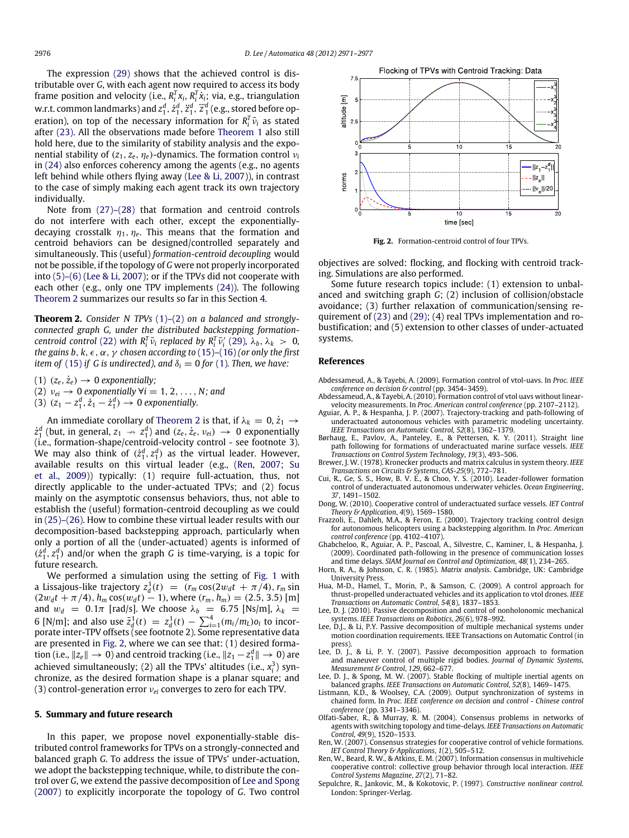The expression [\(29\)](#page-4-7) shows that the achieved control is distributable over *G*, with each agent now required to access its body frame position and velocity (i.e.,  $R_i^T x_i$ ,  $R_i^T \dot{x}_i$ ; via, e.g., triangulation w.r.t. common landmarks) and  $z_1^d$ ,  $\dot{z}_1^d$ ,  $\ddot{z}_1^d$ ,  $\ddot{z}_1^d$ ,  $\ddot{z}_1^d$ ,  $\ddot{z}_1^d$ ,  $\ddot{z}_1^d$ ,  $\ddot{z}_1^d$ ,  $\ddot{z}_1^d$ ,  $\ddot{z}_1^d$ ,  $\ddot{z}_1^d$ ,  $\ddot{z}_1^d$ ,  $\ddot{z}_1^d$ ,  $\ddot{z}_1^d$ ,  $\ddot{z}_1^d$ , e.g eration), on top of the necessary information for  $R_i^T \bar{\nu}_i$  as stated after [\(23\).](#page-3-8) All the observations made before [Theorem 1](#page-4-1) also still hold here, due to the similarity of stability analysis and the exponential stability of  $(z_1, z_e, \eta_e)$ -dynamics. The formation control  $v_i$ in [\(24\)](#page-4-2) also enforces coherency among the agents (e.g., no agents left behind while others flying away [\(Lee](#page-5-7) [&](#page-5-7) [Li,](#page-5-7) [2007\)](#page-5-7)), in contrast to the case of simply making each agent track its own trajectory individually.

Note from [\(27\)](#page-4-8)[–\(28\)](#page-4-6) that formation and centroid controls do not interfere with each other, except the exponentiallydecaying crosstalk  $\eta_1, \eta_e$ . This means that the formation and centroid behaviors can be designed/controlled separately and simultaneously. This (useful) *formation-centroid decoupling* would not be possible, if the topology of *G* were not properly incorporated into [\(5\)](#page-2-1)[–\(6\)](#page-2-0) [\(Lee](#page-5-7) [&](#page-5-7) [Li,](#page-5-7) [2007\)](#page-5-7); or if the TPVs did not cooperate with each other (e.g., only one TPV implements [\(24\)\)](#page-4-2). The following [Theorem 2](#page-5-18) summarizes our results so far in this Section [4.](#page-4-0)

<span id="page-5-18"></span>**Theorem 2.** *Consider N TPVs* [\(1\)](#page-1-3)*–*[\(2\)](#page-1-4) *on a balanced and stronglyconnected graph G, under the distributed backstepping formationcentroid control* [\(22\)](#page-3-0) *with*  $R_i^T \bar{\nu}_i$  *replaced by*  $R_i^T \bar{\nu}_i'$  [\(29\)](#page-4-7),  $\lambda_b$ ,  $\lambda_k > 0$ , *the gains b, k,*  $\epsilon$ *,*  $\alpha$ *,*  $\gamma$  *chosen according to* [\(15\)](#page-3-2)–[\(16\)](#page-3-3) *(or only the first item of* [\(15\)](#page-3-2) *if G is undirected*), and  $\delta_i = 0$  *for* [\(1\)](#page-1-3). Then, we have:

- (1)  $(z_e, \dot{z}_e) \rightarrow 0$  *exponentially*;
- (2)  $v_{ei} \rightarrow 0$  *exponentially*  $\forall i = 1, 2, ..., N$ ; and
- (3)  $(z_1 z_1^d, \dot{z}_1 \dot{z}_1^d) \to 0$  exponentially.

An immediate corollary of [Theorem 2](#page-5-18) is that, if  $\lambda_k = 0, \dot{z}_1 \rightarrow$  $\dot{z}_1^d$  (but, in general,  $z_1 \rightarrow z_1^d$ ) and  $(z_e, \dot{z}_e, v_{ei}) \rightarrow 0$  exponentially (i.e., formation-shape/centroid-velocity control - see footnote 3). We may also think of  $(\dot{z}_1^d, z_1^d)$  as the virtual leader. However, available results on this virtual leader (e.g., [\(Ren,](#page-5-9) [2007;](#page-5-9) [Su](#page-6-2) [et al.,](#page-6-2) [2009\)](#page-6-2)) typically: (1) require full-actuation, thus, not directly applicable to the under-actuated TPVs; and (2) focus mainly on the asymptotic consensus behaviors, thus, not able to establish the (useful) formation-centroid decoupling as we could in [\(25\)–](#page-4-4)[\(26\).](#page-4-5) How to combine these virtual leader results with our decomposition-based backstepping approach, particularly when only a portion of all the (under-actuated) agents is informed of  $(\dot{z}_1^d, z_1^d)$  and/or when the graph *G* is time-varying, is a topic for future research.

We performed a simulation using the setting of [Fig. 1](#page-4-3) with a Lissajous-like trajectory  $z_d^1(t) = (r_m \cos(2w_d t + \pi/4), r_m \sin(2w_d t))$  $(2w_d t + \pi/4)$ ,  $h_m \cos(w_d t) - 1$ ), where  $(r_m, h_m) = (2.5, 3.5)$  [m] and  $w_d = 0.1\pi$  [rad/s]. We choose  $\lambda_b = 6.75$  [Ns/m],  $\lambda_k =$ 6 [N/m]; and also use  $\bar{z}_d^1(t) = z_d^1(t) - \sum_{i=1}^4 (m_i/m_L) o_i$  to incorporate inter-TPV offsets (see footnote 2). Some representative data are presented in [Fig. 2,](#page-5-22) where we can see that: (1) desired formation (i.e.,  $\|z_e\| \to 0$ ) and centroid tracking (i.e.,  $\|z_1 - z_1^d\| \to 0$ ) are achieved simultaneously; (2) all the TPVs' altitudes (i.e.,  $x_i^3$ ) synchronize, as the desired formation shape is a planar square; and (3) control-generation error ν*ei* converges to zero for each TPV.

#### <span id="page-5-17"></span>**5. Summary and future research**

In this paper, we propose novel exponentially-stable distributed control frameworks for TPVs on a strongly-connected and balanced graph *G*. To address the issue of TPVs' under-actuation, we adopt the backstepping technique, while, to distribute the control over *G*, we extend the passive decomposition of [Lee](#page-5-5) [and](#page-5-5) [Spong](#page-5-5) [\(2007\)](#page-5-5) to explicitly incorporate the topology of *G*. Two control

<span id="page-5-22"></span>

**Fig. 2.** Formation-centroid control of four TPVs.

objectives are solved: flocking, and flocking with centroid tracking. Simulations are also performed.

Some future research topics include: (1) extension to unbalanced and switching graph *G*; (2) inclusion of collision/obstacle avoidance; (3) further relaxation of communication/sensing requirement of [\(23\)](#page-3-8) and [\(29\);](#page-4-7) (4) real TPVs implementation and robustification; and (5) extension to other classes of under-actuated systems.

#### **References**

- <span id="page-5-15"></span>Abdessameud, A., & Tayebi, A. (2009). Formation control of vtol-uavs. In *Proc. IEEE conference on decision & control* (pp. 3454–3459).
- <span id="page-5-16"></span>Abdessameud, A., & Tayebi, A. (2010). Formation control of vtol uavs without linearvelocity measurements. In *Proc. American control conference* (pp. 2107–2112).
- <span id="page-5-0"></span>Aguiar, A. P., & Hespanha, J. P. (2007). Trajectory-tracking and path-following of underactuated autonomous vehicles with parametric modeling uncertainty. *IEEE Transactions on Automatic Control*, *52*(8), 1362–1379.
- <span id="page-5-3"></span>Børhaug, E., Pavlov, A., Panteley, E., & Pettersen, K. Y. (2011). Straight line path following for formations of underactuated marine surface vessels. *IEEE Transactions on Control System Technology*, *19*(3), 493–506.
- <span id="page-5-20"></span>Brewer, J. W. (1978). Kronecker products and matrix calculus in system theory. *IEEE*
- <span id="page-5-12"></span>*Transactions on Circuits & Systems*, *CAS-25*(9), 772–781. Cui, R., Ge, S. S., How, B. V. E., & Choo, Y. S. (2010). Leader-follower formation control of underactuated autonomous underwater vehicles. *Ocean Engineering*, *37*, 1491–1502.
- <span id="page-5-14"></span>Dong, W. (2010). Cooperative control of underactuated surface vessels. *IET Control Theory & Application*, *4*(9), 1569–1580.
- <span id="page-5-2"></span>Frazzoli, E., Dahleh, M.A., & Feron, E. (2000). Trajectory tracking control design for autonomous helicopters using a backstepping algorithm. In *Proc. American control conference* (pp. 4102–4107).
- <span id="page-5-4"></span>Ghabcheloo, R., Aguiar, A. P., Pascoal, A., Silvestre, C., Kaminer, I., & Hespanha, J. (2009). Coordinated path-following in the presence of communication losses and time delays. *SIAM Journal on Control and Optimization*, *48*(1), 234–265.
- <span id="page-5-21"></span>Horn, R. A., & Johnson, C. R. (1985). *Matrix analysis*. Cambridge, UK: Cambridge University Press.
- <span id="page-5-1"></span>Hua, M-D., Hamel, T., Morin, P., & Samson, C. (2009). A control approach for thrust-propelled underactuated vehicles and its application to vtol drones. *IEEE Transactions on Automatic Control*, *54*(8), 1837–1853.
- <span id="page-5-6"></span>Lee, D. J. (2010). Passive decomposition and control of nonholonomic mechanical systems. *IEEE Transactions on Robotics*, *26*(6), 978–992.
- <span id="page-5-19"></span>Lee, D.J., & Li, P.Y. Passive decomposition of multiple mechanical systems under motion coordination requirements. IEEE Transactions on Automatic Control (in press)
- <span id="page-5-7"></span>Lee, D. J., & Li, P. Y. (2007). Passive decomposition approach to formation and maneuver control of multiple rigid bodies. *Journal of Dynamic Systems, Measurement & Control*, *129*, 662–677.
- <span id="page-5-5"></span>Lee, D. J., & Spong, M. W. (2007). Stable flocking of multiple inertial agents on balanced graphs. *IEEE Transactions on Automatic Control*, *52*(8), 1469–1475.
- <span id="page-5-13"></span>Listmann, K.D., & Woolsey, C.A. (2009). Output synchronization of systems in chained form. In *Proc. IEEE conference on decision and control - Chinese control conference* (pp. 3341–3346).
- <span id="page-5-8"></span>Olfati-Saber, R., & Murray, R. M. (2004). Consensus problems in networks of agents with switching topology and time-delays. *IEEE Transactions on Automatic Control*, *49*(9), 1520–1533.
- <span id="page-5-9"></span>Ren, W. (2007). Consensus strategies for cooperative control of vehicle formations. *IET Control Theory & Applications*, *1*(2), 505–512.
- <span id="page-5-10"></span>Ren, W., Beard, R. W., & Atkins, E. M. (2007). Information consensus in multivehicle cooperative control: collective group behavior through local interaction. *IEEE Control Systems Magazine*, *27*(2), 71–82.
- <span id="page-5-11"></span>Sepulchre, R., Jankovic, M., & Kokotovic, P. (1997). *Constructive nonlinear control*. London: Springer-Verlag.